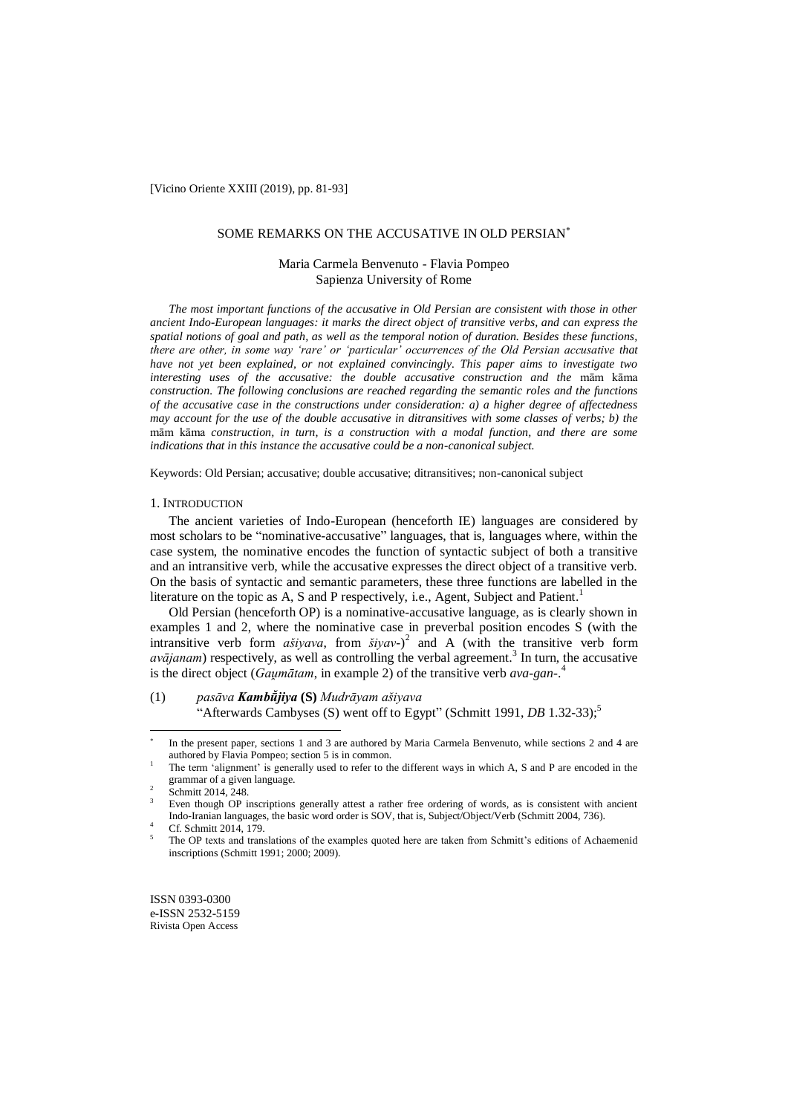[Vicino Oriente XXIII (2019), pp. 81-93]

### SOME REMARKS ON THE ACCUSATIVE IN OLD PERSIAN

# Maria Carmela Benvenuto - Flavia Pompeo Sapienza University of Rome

*The most important functions of the accusative in Old Persian are consistent with those in other ancient Indo-European languages: it marks the direct object of transitive verbs, and can express the spatial notions of goal and path, as well as the temporal notion of duration. Besides these functions, there are other, in some way 'rare' or 'particular' occurrences of the Old Persian accusative that have not yet been explained, or not explained convincingly. This paper aims to investigate two interesting uses of the accusative: the double accusative construction and the* mām kāma *construction. The following conclusions are reached regarding the semantic roles and the functions of the accusative case in the constructions under consideration: a) a higher degree of affectedness may account for the use of the double accusative in ditransitives with some classes of verbs; b) the*  mām kāma *construction, in turn, is a construction with a modal function, and there are some indications that in this instance the accusative could be a non-canonical subject.*

Keywords: Old Persian; accusative; double accusative; ditransitives; non-canonical subject

### 1. INTRODUCTION

The ancient varieties of Indo-European (henceforth IE) languages are considered by most scholars to be "nominative-accusative" languages, that is, languages where, within the case system, the nominative encodes the function of syntactic subject of both a transitive and an intransitive verb, while the accusative expresses the direct object of a transitive verb. On the basis of syntactic and semantic parameters, these three functions are labelled in the literature on the topic as A, S and P respectively, i.e., Agent, Subject and Patient.<sup>1</sup>

Old Persian (henceforth OP) is a nominative-accusative language, as is clearly shown in examples 1 and 2, where the nominative case in preverbal position encodes S (with the intransitive verb form  $a\dot{s}iyava$ , from  $\dot{s}iyav$ -)<sup>2</sup> and A (with the transitive verb form  $a$ *vājanam*) respectively, as well as controlling the verbal agreement.<sup>3</sup> In turn, the accusative is the direct object (*Gaumātam*, in example 2) of the transitive verb *ava-gan*-.<sup>4</sup>

(1) *pasāva* **(S)** *Mudrāyam ašiyava* "Afterwards Cambyses (S) went off to Egypt" (Schmitt 1991, *DB* 1.32-33);<sup>5</sup>

 $\overline{a}$ 

<sup>\*</sup> In the present paper, sections 1 and 3 are authored by Maria Carmela Benvenuto, while sections 2 and 4 are authored by Flavia Pompeo; section 5 is in common.

<sup>1</sup> The term "alignment" is generally used to refer to the different ways in which A, S and P are encoded in the grammar of a given language.

<sup>2</sup> Schmitt 2014, 248.

Even though OP inscriptions generally attest a rather free ordering of words, as is consistent with ancient Indo-Iranian languages, the basic word order is SOV, that is, Subject/Object/Verb (Schmitt 2004, 736).

Cf. Schmitt 2014, 179.

<sup>5</sup> The OP texts and translations of the examples quoted here are taken from Schmitt"s editions of Achaemenid inscriptions (Schmitt 1991; 2000; 2009).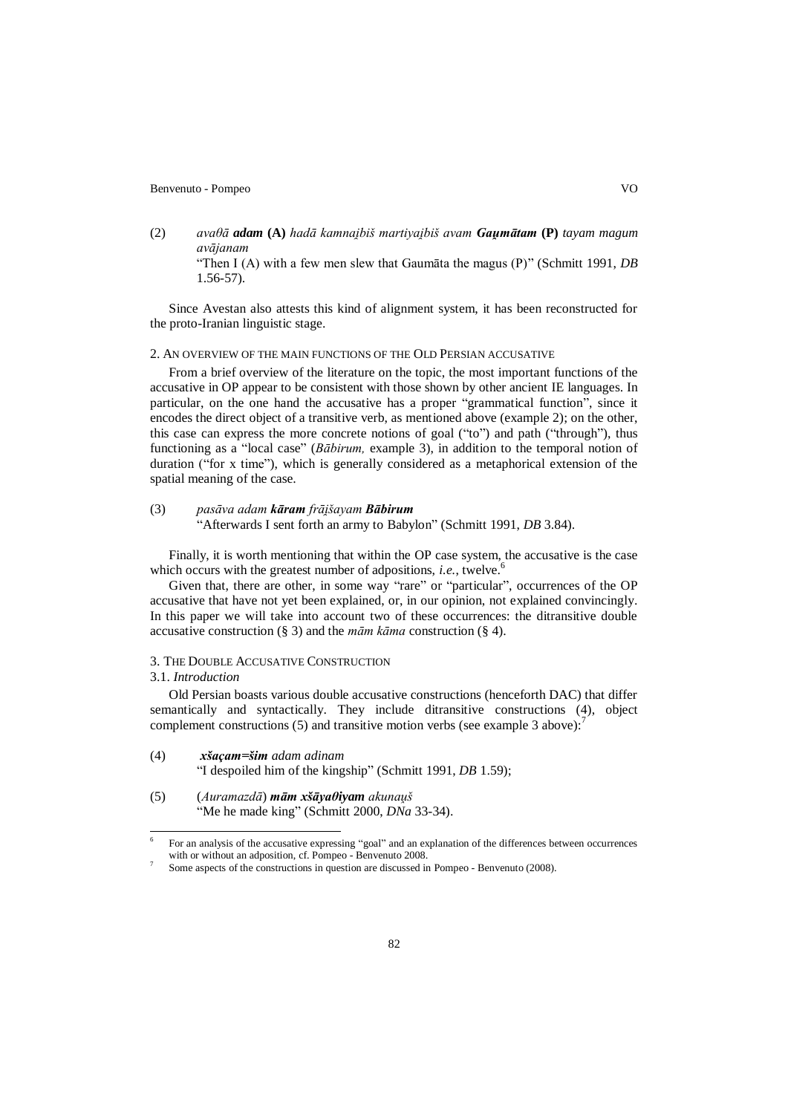(2) *avaθā adam* **(A)** *hadā kamnai iš martiyai iš avam u t* **(P)** *tayam magum avājanam*

"Then I (A) with a few men slew that Gaumāta the magus (P)" (Schmitt 1991, *DB* 1.56-57).

Since Avestan also attests this kind of alignment system, it has been reconstructed for the proto-Iranian linguistic stage.

# 2. AN OVERVIEW OF THE MAIN FUNCTIONS OF THE OLD PERSIAN ACCUSATIVE

From a brief overview of the literature on the topic, the most important functions of the accusative in OP appear to be consistent with those shown by other ancient IE languages. In particular, on the one hand the accusative has a proper "grammatical function", since it encodes the direct object of a transitive verb, as mentioned above (example 2); on the other, this case can express the more concrete notions of goal ("to") and path ("through"), thus functioning as a "local case" (*Bābirum*, example 3), in addition to the temporal notion of duration ("for x time"), which is generally considered as a metaphorical extension of the spatial meaning of the case.

# (3) *pasāva adam kāram frāišayam Bābirum*

"Afterwards I sent forth an army to Babylon" (Schmitt 1991, *DB* 3.84).

Finally, it is worth mentioning that within the OP case system, the accusative is the case which occurs with the greatest number of adpositions, *i.e.*, twelve.<sup>6</sup>

Given that, there are other, in some way "rare" or "particular", occurrences of the OP accusative that have not yet been explained, or, in our opinion, not explained convincingly. In this paper we will take into account two of these occurrences: the ditransitive double accusative construction (§ 3) and the *mām kāma* construction (§ 4).

# 3. THE DOUBLE ACCUSATIVE CONSTRUCTION

# 3.1. *Introduction*

 $\overline{a}$ 

7

Old Persian boasts various double accusative constructions (henceforth DAC) that differ semantically and syntactically. They include ditransitive constructions (4), object complement constructions  $(5)$  and transitive motion verbs (see example 3 above):

- (4) *xšaçam=šim adam adinam* "I despoiled him of the kingship" (Schmitt 1991, *DB* 1.59);
- (5) (*Auramazdā*) *xš θiyam akunaṷš* "Me he made king" (Schmitt 2000, *DNa* 33-34).

<sup>6</sup> For an analysis of the accusative expressing "goal" and an explanation of the differences between occurrences with or without an adposition, cf. Pompeo - Benvenuto 2008.

Some aspects of the constructions in question are discussed in Pompeo - Benvenuto (2008).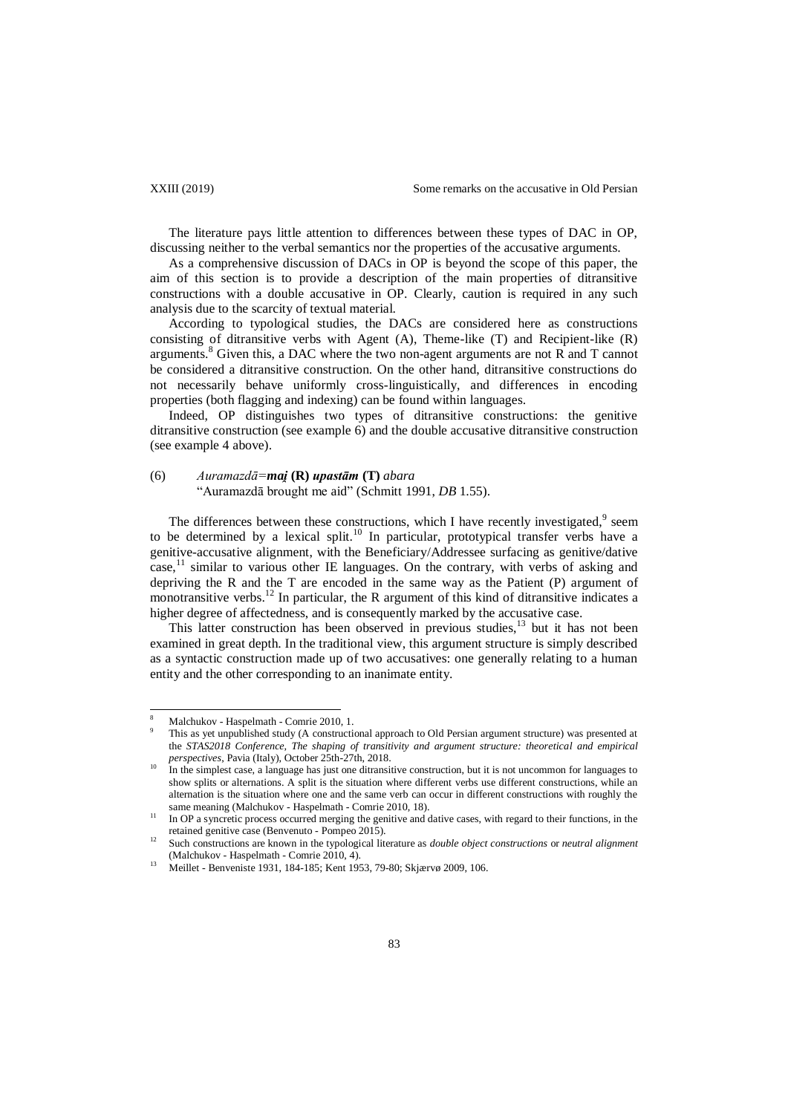The literature pays little attention to differences between these types of DAC in OP, discussing neither to the verbal semantics nor the properties of the accusative arguments.

As a comprehensive discussion of DACs in OP is beyond the scope of this paper, the aim of this section is to provide a description of the main properties of ditransitive constructions with a double accusative in OP. Clearly, caution is required in any such analysis due to the scarcity of textual material.

According to typological studies, the DACs are considered here as constructions consisting of ditransitive verbs with Agent (A), Theme-like (T) and Recipient-like (R) arguments.<sup>8</sup> Given this, a DAC where the two non-agent arguments are not R and T cannot be considered a ditransitive construction. On the other hand, ditransitive constructions do not necessarily behave uniformly cross-linguistically, and differences in encoding properties (both flagging and indexing) can be found within languages.

Indeed, OP distinguishes two types of ditransitive constructions: the genitive ditransitive construction (see example 6) and the double accusative ditransitive construction (see example 4 above).

# (6)  $Auramazd\bar{a} = \text{mai}(\mathbf{R}) \text{ upast}\bar{a} \text{m}(\mathbf{T}) \text{ abara}$

"Auramazdā brought me aid" (Schmitt 1991, *DB* 1.55).

The differences between these constructions, which I have recently investigated, $9$  seem to be determined by a lexical split.<sup>10</sup> In particular, prototypical transfer verbs have a genitive-accusative alignment, with the Beneficiary/Addressee surfacing as genitive/dative case, $<sup>11</sup>$  similar to various other IE languages. On the contrary, with verbs of asking and</sup> depriving the R and the T are encoded in the same way as the Patient (P) argument of monotransitive verbs.<sup>12</sup> In particular, the R argument of this kind of ditransitive indicates a higher degree of affectedness, and is consequently marked by the accusative case.

This latter construction has been observed in previous studies, $^{13}$  but it has not been examined in great depth. In the traditional view, this argument structure is simply described as a syntactic construction made up of two accusatives: one generally relating to a human entity and the other corresponding to an inanimate entity.

 $\overline{\phantom{a}}$ 

<sup>8</sup> Malchukov - Haspelmath - Comrie 2010, 1.

This as yet unpublished study (A constructional approach to Old Persian argument structure) was presented at the *STAS2018 Conference, The shaping of transitivity and argument structure: theoretical and empirical perspectives*, Pavia (Italy), October 25th-27th, 2018.

<sup>&</sup>lt;sup>10</sup> In the simplest case, a language has just one ditransitive construction, but it is not uncommon for languages to show splits or alternations. A split is the situation where different verbs use different constructions, while an alternation is the situation where one and the same verb can occur in different constructions with roughly the same meaning (Malchukov - Haspelmath - Comrie 2010, 18).

<sup>&</sup>lt;sup>11</sup> In OP a syncretic process occurred merging the genitive and dative cases, with regard to their functions, in the retained genitive case (Benvenuto - Pompeo 2015).

<sup>12</sup> Such constructions are known in the typological literature as *double object constructions* or *neutral alignment* (Malchukov - Haspelmath - Comrie 2010, 4).

<sup>13</sup> Meillet - Benveniste 1931, 184-185; Kent 1953, 79-80; Skjærvø 2009, 106.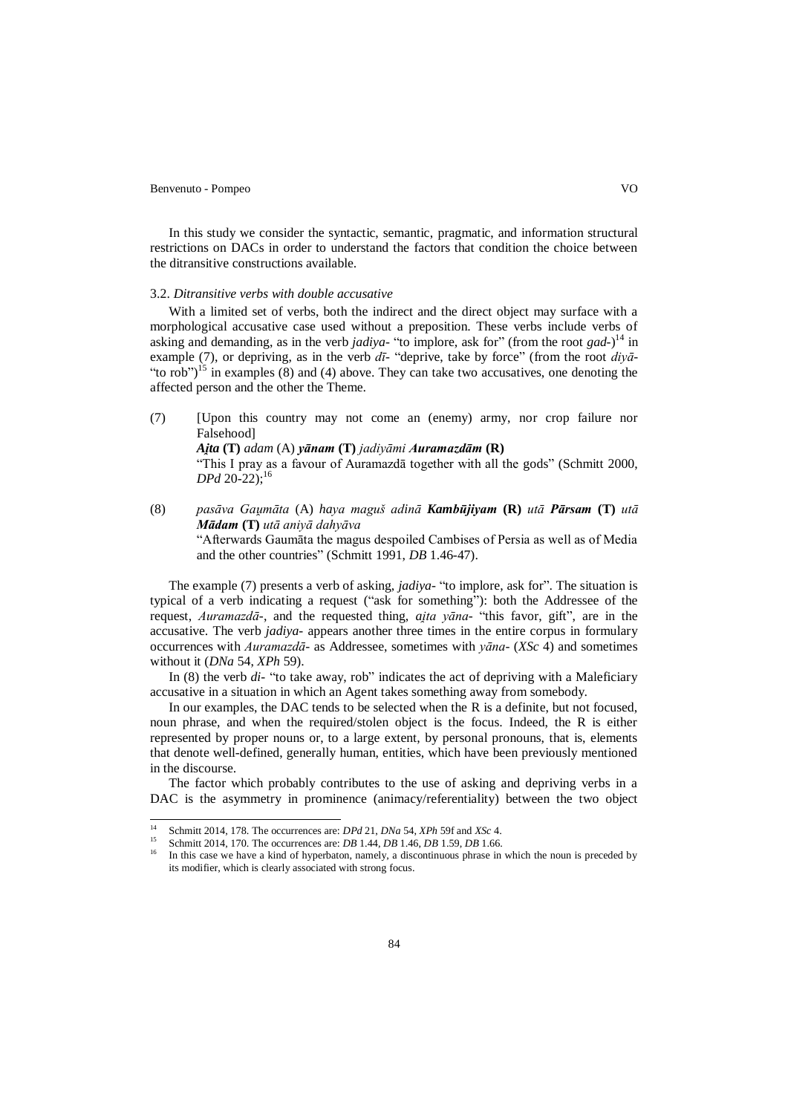$\overline{\phantom{a}}$ 

In this study we consider the syntactic, semantic, pragmatic, and information structural restrictions on DACs in order to understand the factors that condition the choice between the ditransitive constructions available.

### 3.2. *Ditransitive verbs with double accusative*

With a limited set of verbs, both the indirect and the direct object may surface with a morphological accusative case used without a preposition. These verbs include verbs of asking and demanding, as in the verb *jadiya*- "to implore, ask for" (from the root *gad*-) <sup>14</sup> in example (7), or depriving, as in the verb *dī-* "deprive, take by force" (from the root *diyā*- "to rob")<sup>15</sup> in examples (8) and (4) above. They can take two accusatives, one denoting the affected person and the other the Theme.

- (7) [Upon this country may not come an (enemy) army, nor crop failure nor Falsehood] *Ajta* (T) *adam* (A) *yānam* (T) *jadiyāmi Auramazdām* (R) "This I pray as a favour of Auramazdā together with all the gods" (Schmitt 2000, *DPd* 20-22); 16
- (8) *pasāva Gaumāta (A) haya maguš adinā Kambūjiyam (R) utā Pārsam (T) utā M d* **(T)** *utā aniyā dahyāva* "Afterwards Gaumāta the magus despoiled Cambises of Persia as well as of Media and the other countries" (Schmitt 1991, *DB* 1.46-47).

The example (7) presents a verb of asking, *jadiya-* "to implore, ask for". The situation is typical of a verb indicating a request ("ask for something"): both the Addressee of the request, *Auramazdā*-, and the requested thing, *aita yāna*- "this favor, gift", are in the accusative. The verb *jadiya-* appears another three times in the entire corpus in formulary occurrences with *Auramazdā-* as Addressee, sometimes with *yāna-* (*XSc* 4) and sometimes without it (*DNa* 54, *XPh* 59).

In (8) the verb *di-* "to take away, rob" indicates the act of depriving with a Maleficiary accusative in a situation in which an Agent takes something away from somebody.

In our examples, the DAC tends to be selected when the R is a definite, but not focused, noun phrase, and when the required/stolen object is the focus. Indeed, the R is either represented by proper nouns or, to a large extent, by personal pronouns, that is, elements that denote well-defined, generally human, entities, which have been previously mentioned in the discourse.

The factor which probably contributes to the use of asking and depriving verbs in a DAC is the asymmetry in prominence (animacy/referentiality) between the two object

<sup>14</sup> Schmitt 2014, 178. The occurrences are: *DPd* 21, *DNa* 54, *XPh* 59f and *XSc* 4.

<sup>15</sup> Schmitt 2014, 170. The occurrences are: *DB* 1.44, *DB* 1.46, *DB* 1.59, *DB* 1.66.

<sup>16</sup> In this case we have a kind of hyperbaton, namely, a discontinuous phrase in which the noun is preceded by its modifier, which is clearly associated with strong focus.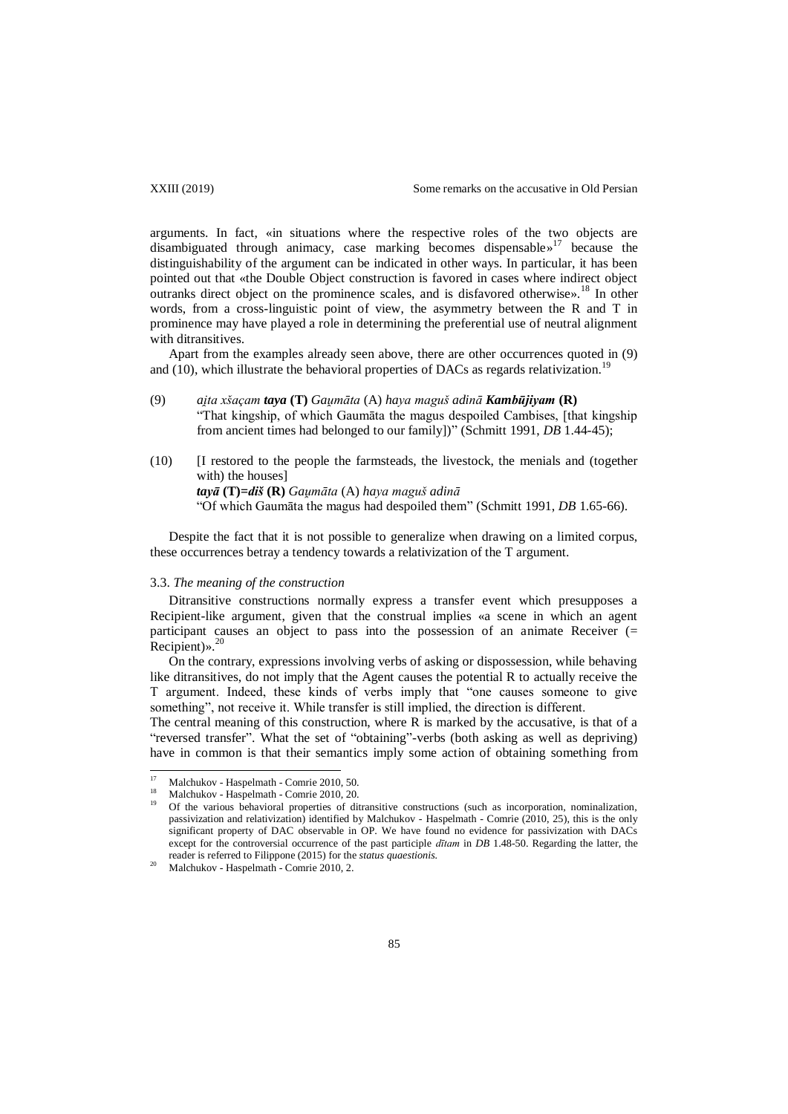arguments. In fact, «in situations where the respective roles of the two objects are disambiguated through animacy, case marking becomes dispensable» <sup>17</sup> because the distinguishability of the argument can be indicated in other ways. In particular, it has been pointed out that «the Double Object construction is favored in cases where indirect object outranks direct object on the prominence scales, and is disfavored otherwise».<sup>18</sup> In other words, from a cross-linguistic point of view, the asymmetry between the R and T in prominence may have played a role in determining the preferential use of neutral alignment with ditransitives.

Apart from the examples already seen above, there are other occurrences quoted in (9) and  $(10)$ , which illustrate the behavioral properties of DACs as regards relativization.<sup>19</sup>

- (9) *ai ta xšaçam taya* **(T)** *Gau māta* (A) *haya maguš adinā Kam* **(R)** "That kingship, of which Gaumāta the magus despoiled Cambises, [that kingship from ancient times had belonged to our family])" (Schmitt 1991, *DB* 1.44-45);
- (10) [I restored to the people the farmsteads, the livestock, the menials and (together with) the houses] *ta* **(T)=***d š* **(R)** *Gau māta* (A) *haya maguš adinā* "Of which Gaumāta the magus had despoiled them" (Schmitt 1991, *DB* 1.65-66).

Despite the fact that it is not possible to generalize when drawing on a limited corpus, these occurrences betray a tendency towards a relativization of the T argument.

# 3.3. *The meaning of the construction*

Ditransitive constructions normally express a transfer event which presupposes a Recipient-like argument, given that the construal implies «a scene in which an agent participant causes an object to pass into the possession of an animate Receiver  $(=$ Recipient)».<sup>20</sup>

On the contrary, expressions involving verbs of asking or dispossession, while behaving like ditransitives, do not imply that the Agent causes the potential R to actually receive the T argument. Indeed, these kinds of verbs imply that "one causes someone to give something", not receive it. While transfer is still implied, the direction is different.

The central meaning of this construction, where R is marked by the accusative, is that of a "reversed transfer". What the set of "obtaining"-verbs (both asking as well as depriving) have in common is that their semantics imply some action of obtaining something from

<sup>17</sup> <sup>17</sup> Malchukov - Haspelmath - Comrie 2010, 50.

<sup>&</sup>lt;sup>18</sup> Malchukov - Haspelmath - Comrie 2010, 20.

<sup>19</sup> Of the various behavioral properties of ditransitive constructions (such as incorporation, nominalization, passivization and relativization) identified by Malchukov - Haspelmath - Comrie (2010, 25), this is the only significant property of DAC observable in OP. We have found no evidence for passivization with DACs except for the controversial occurrence of the past participle *dītam* in *DB* 1.48-50. Regarding the latter, the reader is referred to Filippone (2015) for the *status quaestionis.*

 $^{20}$  Malchukov - Haspelmath - Comrie 2010, 2.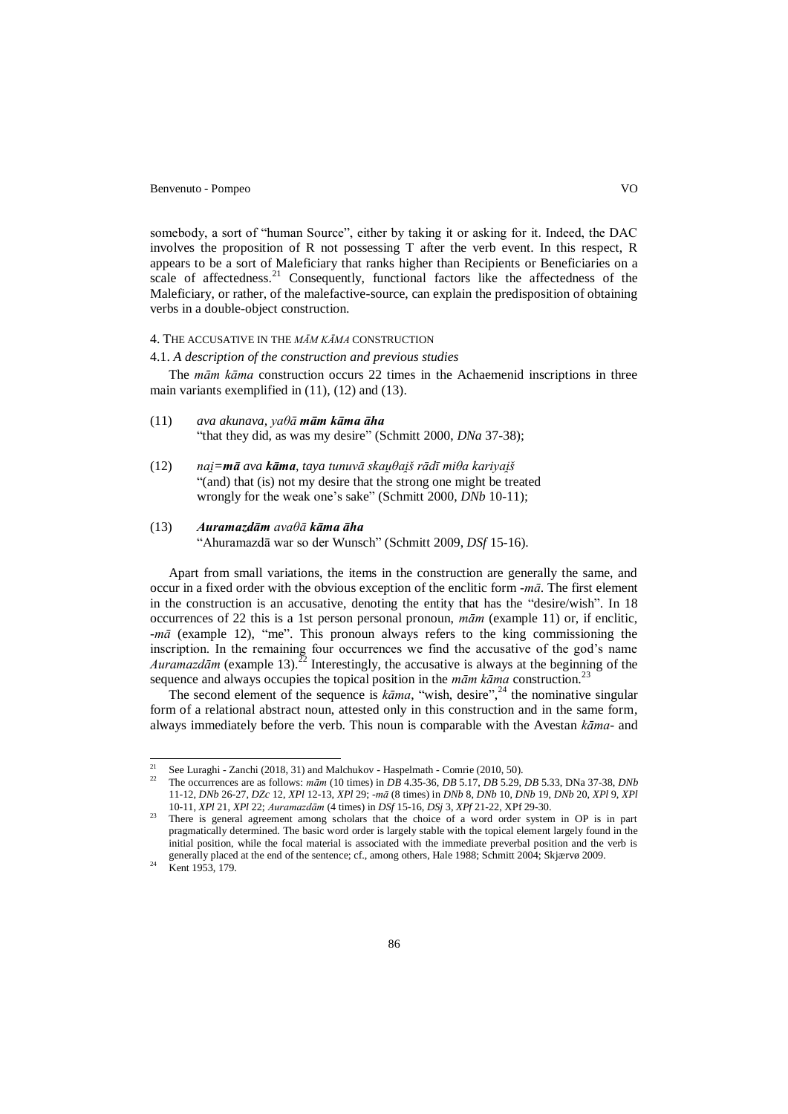somebody, a sort of "human Source", either by taking it or asking for it. Indeed, the DAC involves the proposition of R not possessing T after the verb event. In this respect, R appears to be a sort of Maleficiary that ranks higher than Recipients or Beneficiaries on a scale of affectedness.<sup>21</sup> Consequently, functional factors like the affectedness of the Maleficiary, or rather, of the malefactive-source, can explain the predisposition of obtaining verbs in a double-object construction.

# 4. THE ACCUSATIVE IN THE *MĀM KĀMA* CONSTRUCTION

4.1. *A description of the construction and previous studies*

The *mām kāma* construction occurs 22 times in the Achaemenid inscriptions in three main variants exemplified in (11), (12) and (13).

- *(11) [ava](javascript:ci(59288,) [akunava,](javascript:ci(59288,) yaθā mām kāma āha* "that they did, as was my desire" (Schmitt 2000, *DNa* 37-38);
- (12) *nai = ava k , taya [tunuvā](javascript:ci(59288,) [skau θai š](javascript:ci(59288,) rādī [miθa](javascript:ci(59288,) [kariyai š](javascript:ci(59288,)* "(and) that (is) not my desire that the strong one might be treated wrongly for the weak one's sake" (Schmitt 2000, *DNb* 10-11);

## (13) *Auramazdām avaθā kāma āha*

"Ahuramazdā war so der Wunsch" (Schmitt 2009, *DSf* 15-16).

Apart from small variations, the items in the construction are generally the same, and occur in a fixed order with the obvious exception of the enclitic form -*mā*. The first element in the construction is an accusative, denoting the entity that has the "desire/wish". In 18 occurrences of 22 this is a 1st person personal pronoun, *mām* (example 11) or, if enclitic, -*mā* (example 12), "me". This pronoun always refers to the king commissioning the inscription. In the remaining four occurrences we find the accusative of the god's name *Auramazdām* (example 13).<sup>22</sup> Interestingly, the accusative is always at the beginning of the sequence and always occupies the topical position in the *mām kāma* construction.<sup>23</sup>

The second element of the sequence is  $k\bar{a}$ *ma*, "wish, desire",<sup>24</sup> the nominative singular form of a relational abstract noun, attested only in this construction and in the same form, always immediately before the verb. This noun is comparable with the Avestan *kāma*- and

 $21$ <sup>21</sup> See Luraghi - Zanchi (2018, 31) and Malchukov - Haspelmath - Comrie (2010, 50).<br><sup>22</sup> The assumences are as follows: w. F.y. (10 times) in DB 4.25.26, DB 5.17, DB 5.20.

<sup>22</sup> The occurrences are as follows: *mām* (10 times) in *DB* 4.35-36, *DB* 5.17, *DB* 5.29, *DB* 5.33, DNa 37-38, *DNb* 11-12, *DNb* 26-27, *DZc* 12, *XPl* 12-13, *XPl* 29; -*mā* (8 times) in *DNb* 8, *DNb* 10, *DNb* 19, *DNb* 20, *XPl* 9, *XPl* 10-11, *XPl* 21, *XPl* 22; *Auramazdām* (4 times) in *DSf* 15-16, *DSj* 3, *XPf* 21-22, XPf 29-30.

 $23$  There is general agreement among scholars that the choice of a word order system in OP is in part pragmatically determined. The basic word order is largely stable with the topical element largely found in the initial position, while the focal material is associated with the immediate preverbal position and the verb is generally placed at the end of the sentence; cf., among others, Hale 1988; Schmitt 2004; Skjærvø 2009.

<sup>&</sup>lt;sup>24</sup> Kent 1953, 179.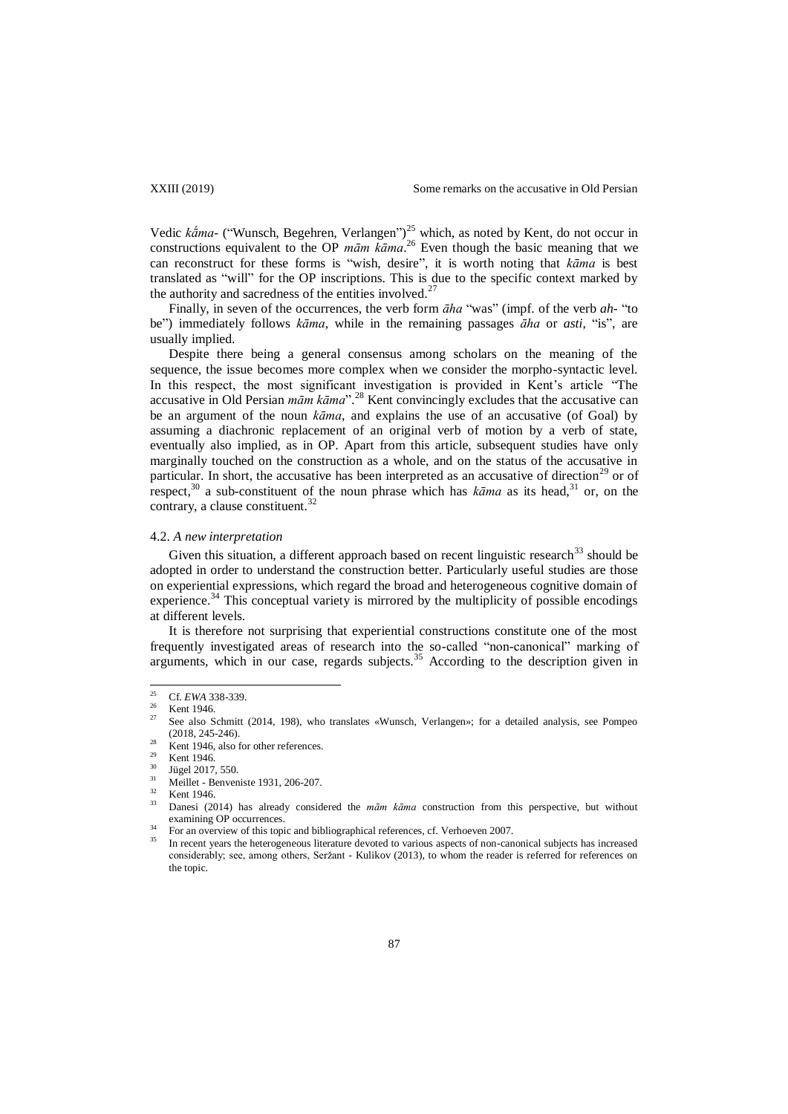Vedic *kama*- ("Wunsch, Begehren, Verlangen")<sup>25</sup> which, as noted by Kent, do not occur in constructions equivalent to the OP *mām kāma*. <sup>26</sup> Even though the basic meaning that we can reconstruct for these forms is "wish, desire", it is worth noting that *kāma* is best translated as "will" for the OP inscriptions. This is due to the specific context marked by the authority and sacredness of the entities involved.<sup>27</sup>

Finally, in seven of the occurrences, the verb form *āha* "was" (impf. of the verb *ah*- "to be") immediately follows *kāma*, while in the remaining passages *āha* or *asti*, "is", are usually implied.

Despite there being a general consensus among scholars on the meaning of the sequence, the issue becomes more complex when we consider the morpho-syntactic level. In this respect, the most significant investigation is provided in Kent's article "The accusative in Old Persian *mām kāma*".<sup>28</sup> Kent convincingly excludes that the accusative can be an argument of the noun *kāma*, and explains the use of an accusative (of Goal) by assuming a diachronic replacement of an original verb of motion by a verb of state, eventually also implied, as in OP. Apart from this article, subsequent studies have only marginally touched on the construction as a whole, and on the status of the accusative in particular. In short, the accusative has been interpreted as an accusative of direction<sup>29</sup> or of respect,<sup>30</sup> a sub-constituent of the noun phrase which has  $k\bar{a}$  ma as its head,<sup>31</sup> or, on the contrary, a clause constituent.<sup>3</sup>

### 4.2. *A new interpretation*

Given this situation, a different approach based on recent linguistic research $33$  should be adopted in order to understand the construction better. Particularly useful studies are those on experiential expressions, which regard the broad and heterogeneous cognitive domain of experience.<sup>34</sup> This conceptual variety is mirrored by the multiplicity of possible encodings at different levels.

It is therefore not surprising that experiential constructions constitute one of the most frequently investigated areas of research into the so-called "non-canonical" marking of arguments, which in our case, regards subjects.<sup>35</sup> According to the description given in

 $25$ <sup>25</sup> Cf. *EWA* 338-339.

 $\frac{26}{27}$  Kent 1946.

<sup>27</sup> See also Schmitt (2014, 198), who translates «Wunsch, Verlangen»; for a detailed analysis, see Pompeo (2018, 245-246).

Kent 1946, also for other references.

 $\frac{29}{30}$  Kent 1946.

 $\frac{30}{31}$  Jügel 2017, 550.

Meillet - Benveniste 1931, 206-207.

 $\frac{32}{33}$  Kent 1946.

<sup>33</sup> Danesi (2014) has already considered the *mām kāma* construction from this perspective, but without examining OP occurrences.

<sup>34</sup> For an overview of this topic and bibliographical references, cf. Verhoeven 2007.

<sup>35</sup> In recent years the heterogeneous literature devoted to various aspects of non-canonical subjects has increased considerably; see, among others, Seržant - Kulikov (2013), to whom the reader is referred for references on the topic.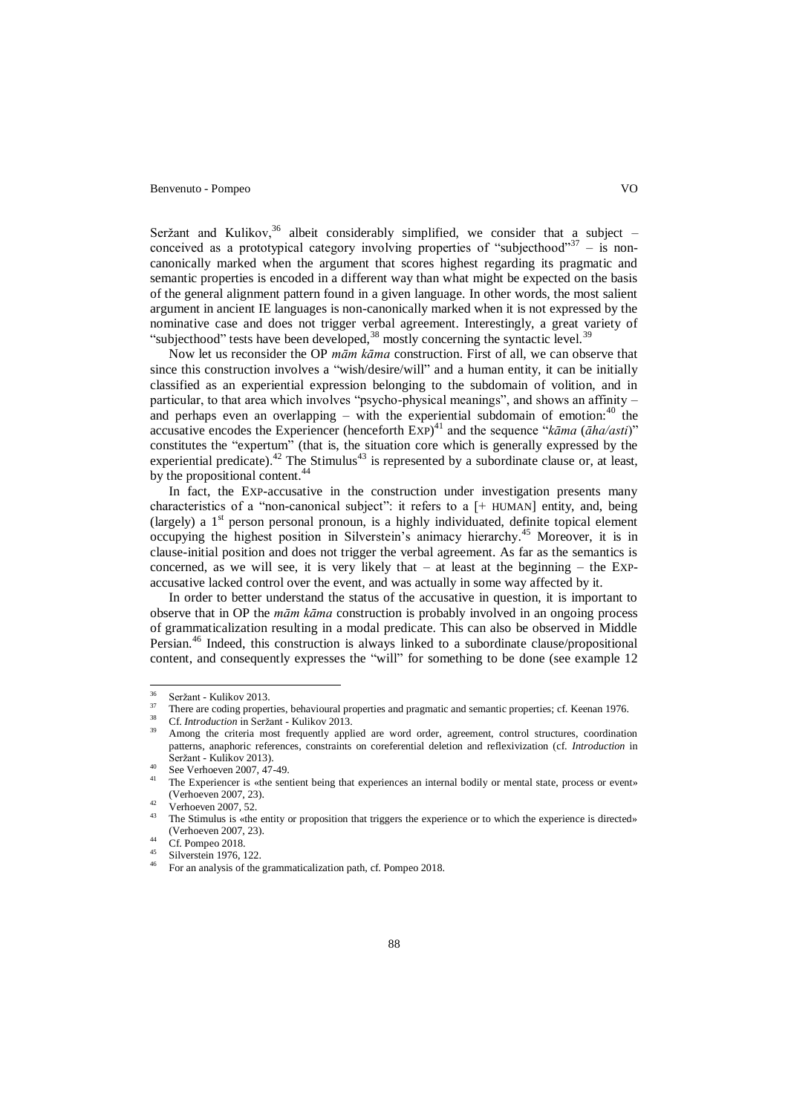Seržant and Kulikov,  $36$  albeit considerably simplified, we consider that a subject – conceived as a prototypical category involving properties of "subjecthood"<sup>37</sup> - is noncanonically marked when the argument that scores highest regarding its pragmatic and semantic properties is encoded in a different way than what might be expected on the basis of the general alignment pattern found in a given language. In other words, the most salient argument in ancient IE languages is non-canonically marked when it is not expressed by the nominative case and does not trigger verbal agreement. Interestingly, a great variety of "subjecthood" tests have been developed, $38$  mostly concerning the syntactic level. $39$ 

Now let us reconsider the OP *mām kāma* construction. First of all, we can observe that since this construction involves a "wish/desire/will" and a human entity, it can be initially classified as an experiential expression belonging to the subdomain of volition, and in particular, to that area which involves "psycho-physical meanings", and shows an affinity – and perhaps even an overlapping – with the experiential subdomain of emotion:  $^{40}$  the accusative encodes the Experiencer (henceforth EXP) <sup>41</sup> and the sequence "*kāma* (*āha/asti*)" constitutes the "expertum" (that is, the situation core which is generally expressed by the experiential predicate).<sup>42</sup> The Stimulus<sup>43</sup> is represented by a subordinate clause or, at least, by the propositional content.<sup>44</sup>

In fact, the EXP-accusative in the construction under investigation presents many characteristics of a "non-canonical subject": it refers to a  $[+$  HUMAN] entity, and, being (largely) a  $1<sup>st</sup>$  person personal pronoun, is a highly individuated, definite topical element occupying the highest position in Silverstein"s animacy hierarchy. <sup>45</sup> Moreover, it is in clause-initial position and does not trigger the verbal agreement. As far as the semantics is concerned, as we will see, it is very likely that  $-$  at least at the beginning  $-$  the Expaccusative lacked control over the event, and was actually in some way affected by it.

In order to better understand the status of the accusative in question, it is important to observe that in OP the *mām kāma* construction is probably involved in an ongoing process of grammaticalization resulting in a modal predicate. This can also be observed in Middle Persian.<sup>46</sup> Indeed, this construction is always linked to a subordinate clause/propositional content, and consequently expresses the "will" for something to be done (see example 12

 $36$  $rac{36}{37}$  Seržant - Kulikov 2013.

<sup>37</sup> There are coding properties, behavioural properties and pragmatic and semantic properties; cf. Keenan 1976.

<sup>38</sup> Cf. *Introduction* in Seržant - Kulikov 2013.

Among the criteria most frequently applied are word order, agreement, control structures, coordination patterns, anaphoric references, constraints on coreferential deletion and reflexivization (cf. *Introduction* in Seržant - Kulikov 2013).

<sup>&</sup>lt;sup>40</sup> See Verhoeven 2007, 47-49.

The Experiencer is «the sentient being that experiences an internal bodily or mental state, process or event» (Verhoeven 2007, 23).

 $\frac{42}{13}$  Verhoeven 2007, 52.

The Stimulus is «the entity or proposition that triggers the experience or to which the experience is directed» (Verhoeven 2007, 23).

 $\frac{44}{15}$  Cf. Pompeo 2018.

 $^{45}$  Silverstein 1976, 122.

<sup>46</sup> For an analysis of the grammaticalization path, cf. Pompeo 2018.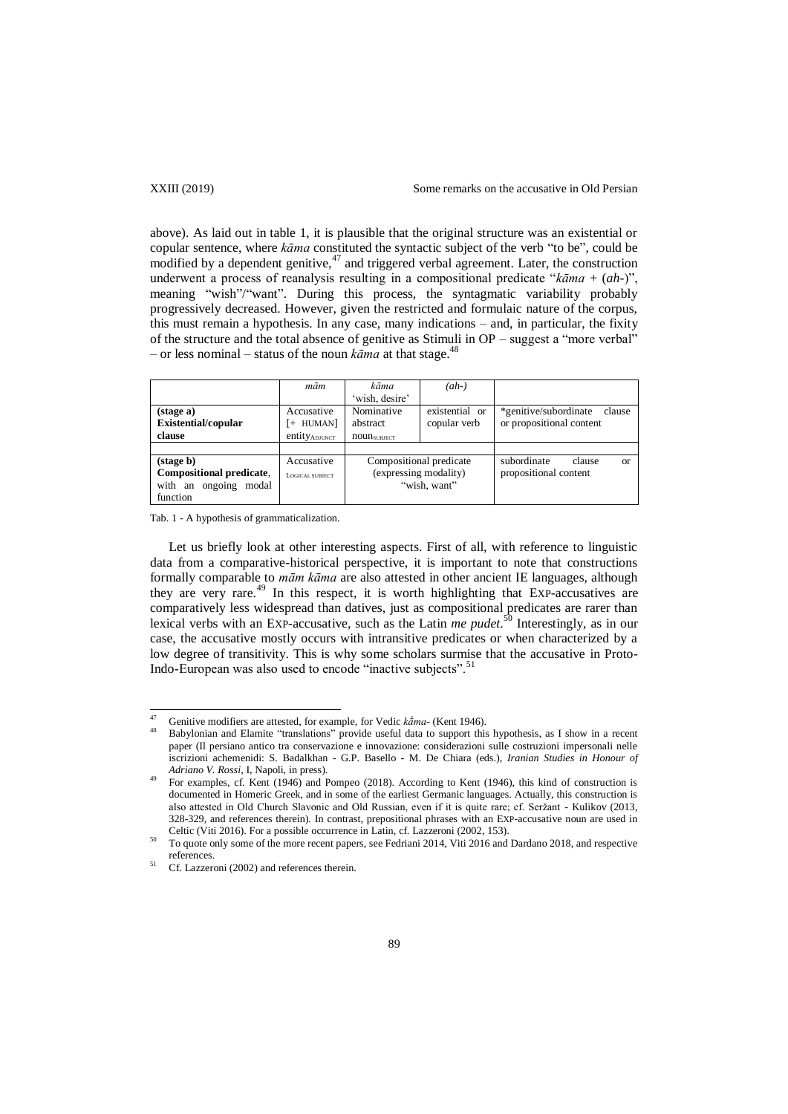above). As laid out in table 1, it is plausible that the original structure was an existential or copular sentence, where *kāma* constituted the syntactic subject of the verb "to be", could be modified by a dependent genitive, $47$  and triggered verbal agreement. Later, the construction underwent a process of reanalysis resulting in a compositional predicate "*kāma* + (*ah*-)", meaning "wish"/"want". During this process, the syntagmatic variability probably progressively decreased. However, given the restricted and formulaic nature of the corpus, this must remain a hypothesis. In any case, many indications – and, in particular, the fixity of the structure and the total absence of genitive as Stimuli in OP – suggest a "more verbal" – or less nominal – status of the noun  $k\bar{a}$  at that stage.<sup>48</sup>

|                            | mām             | kāma                    | $(ah-)$        |                                        |
|----------------------------|-----------------|-------------------------|----------------|----------------------------------------|
|                            |                 | 'wish, desire'          |                |                                        |
| (stage a)                  | Accusative      | Nominative              | existential or | *genitive/subordinate<br>clause        |
| <b>Existential/copular</b> | HUMAN]<br>$+$   | abstract                | copular verb   | or propositional content               |
| clause                     | entity ADJUNCT  | <b>noun</b> surfect     |                |                                        |
|                            |                 |                         |                |                                        |
| (stage b)                  | Accusative      | Compositional predicate |                | subordinate<br>clause<br><sub>or</sub> |
| Compositional predicate,   | LOGICAL SUBJECT | (expressing modality)   |                | propositional content                  |
| with an ongoing<br>modal   |                 | "wish, want"            |                |                                        |
| function                   |                 |                         |                |                                        |

Tab. 1 - A hypothesis of grammaticalization.

 $\overline{\phantom{a}}$ 

Let us briefly look at other interesting aspects. First of all, with reference to linguistic data from a comparative-historical perspective, it is important to note that constructions formally comparable to *mām kāma* are also attested in other ancient IE languages, although they are very rare.<sup>49</sup> In this respect, it is worth highlighting that EXP-accusatives are comparatively less widespread than datives, just as compositional predicates are rarer than lexical verbs with an EXP-accusative, such as the Latin *me pudet*. <sup>50</sup> Interestingly, as in our case, the accusative mostly occurs with intransitive predicates or when characterized by a low degree of transitivity. This is why some scholars surmise that the accusative in Proto-Indo-European was also used to encode "inactive subjects".<sup>51</sup>

<sup>&</sup>lt;sup>47</sup> Genitive modifiers are attested, for example, for Vedic *kama*- (Kent 1946).

<sup>48</sup> Babylonian and Elamite "translations" provide useful data to support this hypothesis, as I show in a recent paper (Il persiano antico tra conservazione e innovazione: considerazioni sulle costruzioni impersonali nelle iscrizioni achemenidi: S. Badalkhan - G.P. Basello - M. De Chiara (eds.), *Iranian Studies in Honour of Adriano V. Rossi*, I, Napoli, in press).

<sup>49</sup> For examples, cf. Kent (1946) and Pompeo (2018). According to Kent (1946), this kind of construction is documented in Homeric Greek, and in some of the earliest Germanic languages. Actually, this construction is also attested in Old Church Slavonic and Old Russian, even if it is quite rare; cf. Seržant - Kulikov (2013, 328-329, and references therein). In contrast, prepositional phrases with an EXP-accusative noun are used in Celtic (Viti 2016). For a possible occurrence in Latin, cf. Lazzeroni (2002, 153).

<sup>50</sup> To quote only some of the more recent papers, see Fedriani 2014, Viti 2016 and Dardano 2018, and respective references.

 $51$  Cf. Lazzeroni (2002) and references therein.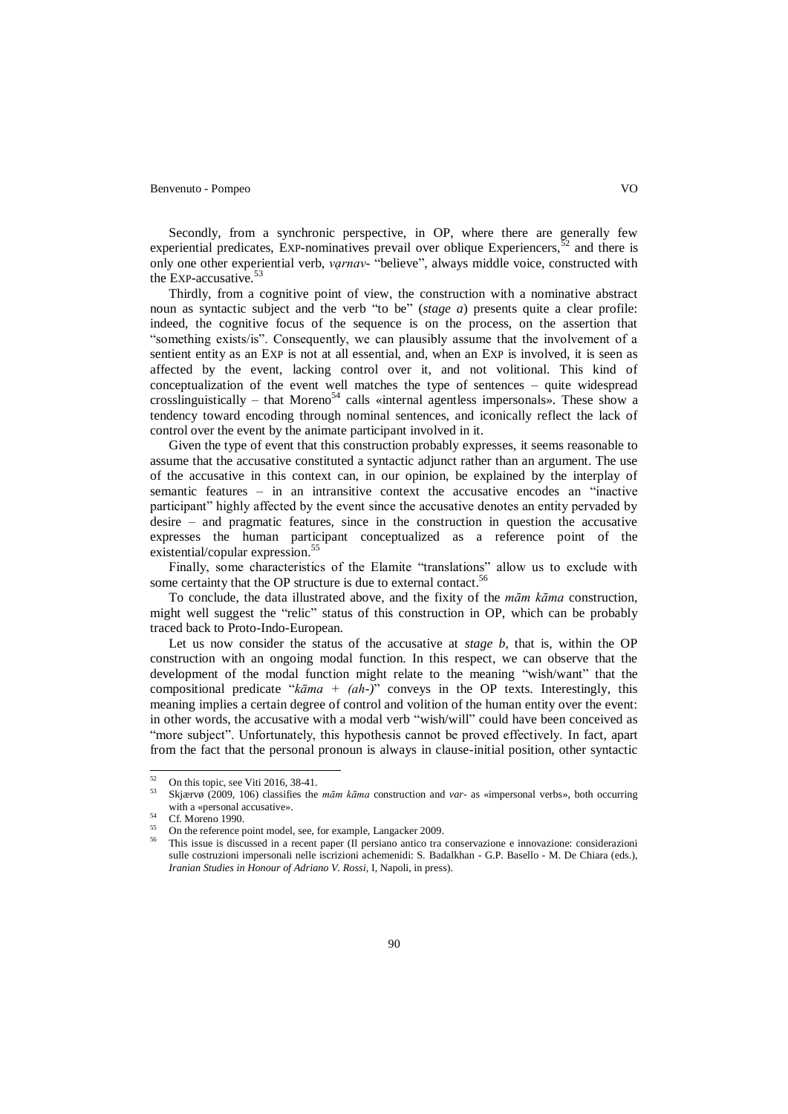Secondly, from a synchronic perspective, in OP, where there are generally few experiential predicates, EXP-nominatives prevail over oblique Experiencers,  $5<sup>2</sup>$  and there is only one other experiential verb, *vạrnav*- "believe", always middle voice, constructed with the Exp-accusative.<sup>53</sup>

Thirdly, from a cognitive point of view, the construction with a nominative abstract noun as syntactic subject and the verb "to be" (*stage a*) presents quite a clear profile: indeed, the cognitive focus of the sequence is on the process, on the assertion that "something exists/is". Consequently, we can plausibly assume that the involvement of a sentient entity as an EXP is not at all essential, and, when an EXP is involved, it is seen as affected by the event, lacking control over it, and not volitional. This kind of conceptualization of the event well matches the type of sentences – quite widespread crosslinguistically – that Moreno<sup>54</sup> calls «internal agentless impersonals». These show a tendency toward encoding through nominal sentences, and iconically reflect the lack of control over the event by the animate participant involved in it.

Given the type of event that this construction probably expresses, it seems reasonable to assume that the accusative constituted a syntactic adjunct rather than an argument. The use of the accusative in this context can, in our opinion, be explained by the interplay of semantic features – in an intransitive context the accusative encodes an "inactive participant" highly affected by the event since the accusative denotes an entity pervaded by desire – and pragmatic features, since in the construction in question the accusative expresses the human participant conceptualized as a reference point of the existential/copular expression. 55

Finally, some characteristics of the Elamite "translations" allow us to exclude with some certainty that the OP structure is due to external contact.<sup>56</sup>

To conclude, the data illustrated above, and the fixity of the *mām kāma* construction, might well suggest the "relic" status of this construction in OP, which can be probably traced back to Proto-Indo-European.

Let us now consider the status of the accusative at *stage b*, that is, within the OP construction with an ongoing modal function. In this respect, we can observe that the development of the modal function might relate to the meaning "wish/want" that the compositional predicate "*kāma + (ah-)*" conveys in the OP texts. Interestingly, this meaning implies a certain degree of control and volition of the human entity over the event: in other words, the accusative with a modal verb "wish/will" could have been conceived as "more subject". Unfortunately, this hypothesis cannot be proved effectively. In fact, apart from the fact that the personal pronoun is always in clause-initial position, other syntactic

 $52.$  $^{52}$  On this topic, see Viti 2016, 38-41.

<sup>53</sup> Skjærvø (2009, 106) classifies the *mām kāma* construction and *var*- as «impersonal verbs», both occurring with a «personal accusative».

<sup>&</sup>lt;sup>54</sup> Cf. Moreno 1990.

<sup>&</sup>lt;sup>55</sup> On the reference point model, see, for example, Langacker 2009.

<sup>56</sup> This issue is discussed in a recent paper (Il persiano antico tra conservazione e innovazione: considerazioni sulle costruzioni impersonali nelle iscrizioni achemenidi: S. Badalkhan - G.P. Basello - M. De Chiara (eds.), *Iranian Studies in Honour of Adriano V. Rossi*, I, Napoli, in press).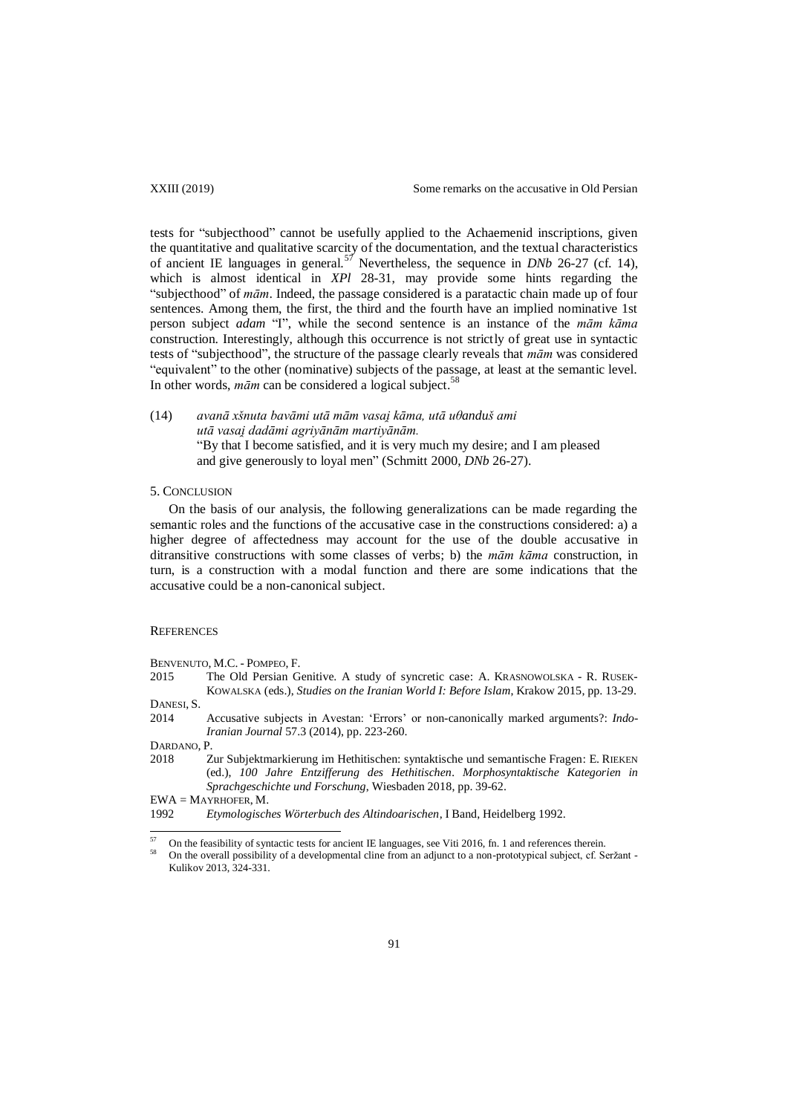tests for "subjecthood" cannot be usefully applied to the Achaemenid inscriptions, given the quantitative and qualitative scarcity of the documentation, and the textual characteristics of ancient IE languages in general.<sup>57</sup> Nevertheless, the sequence in *DNb* 26-27 (cf. 14), which is almost identical in *XPl* 28-31, may provide some hints regarding the "subjecthood" of *mām*. Indeed, the passage considered is a paratactic chain made up of four sentences. Among them, the first, the third and the fourth have an implied nominative 1st person subject *adam* "I", while the second sentence is an instance of the *mām kāma* construction. Interestingly, although this occurrence is not strictly of great use in syntactic tests of "subjecthood", the structure of the passage clearly reveals that *mām* was considered "equivalent" to the other (nominative) subjects of the passage, at least at the semantic level. In other words, *mām* can be considered a logical subject. 58

(14) *avanā xšnuta avāmi utā mām vasai kāma, utā uθanduš ami utā vasai dadāmi agriyānām martiyānām*  "By that I become satisfied, and it is very much my desire; and I am pleased and give generously to loyal men" (Schmitt 2000, *DNb* 26-27).

# 5. CONCLUSION

On the basis of our analysis, the following generalizations can be made regarding the semantic roles and the functions of the accusative case in the constructions considered: a) a higher degree of affectedness may account for the use of the double accusative in ditransitive constructions with some classes of verbs; b) the *mām kāma* construction, in turn, is a construction with a modal function and there are some indications that the accusative could be a non-canonical subject.

### **REFERENCES**

BENVENUTO, M.C. - POMPEO, F.

- 2015 The Old Persian Genitive. A study of syncretic case: A. KRASNOWOLSKA R. RUSEK-KOWALSKA (eds.), *Studies on the Iranian World I: Before Islam*, Krakow 2015, pp. 13-29. DANESI, S.
- 
- 2014 Accusative subjects in Avestan: "Errors" or non-canonically marked arguments?: *Indo-Iranian Journal* 57.3 (2014), pp. 223-260.

DARDANO, P.

 $\overline{a}$ 

2018 Zur Subjektmarkierung im Hethitischen: syntaktische und semantische Fragen: E. RIEKEN (ed.), *100 Jahre Entzifferung des Hethitischen. Morphosyntaktische Kategorien in Sprachgeschichte und Forschung*, Wiesbaden 2018, pp. 39-62.

EWA = MAYRHOFER, M.

<sup>1992</sup> *Etymologisches Wörterbuch des Altindoarischen*, I Band, Heidelberg 1992.

 $^{57}$  On the feasibility of syntactic tests for ancient IE languages, see Viti 2016, fn. 1 and references therein.

On the overall possibility of a developmental cline from an adjunct to a non-prototypical subject, cf. Seržant -Kulikov 2013, 324-331.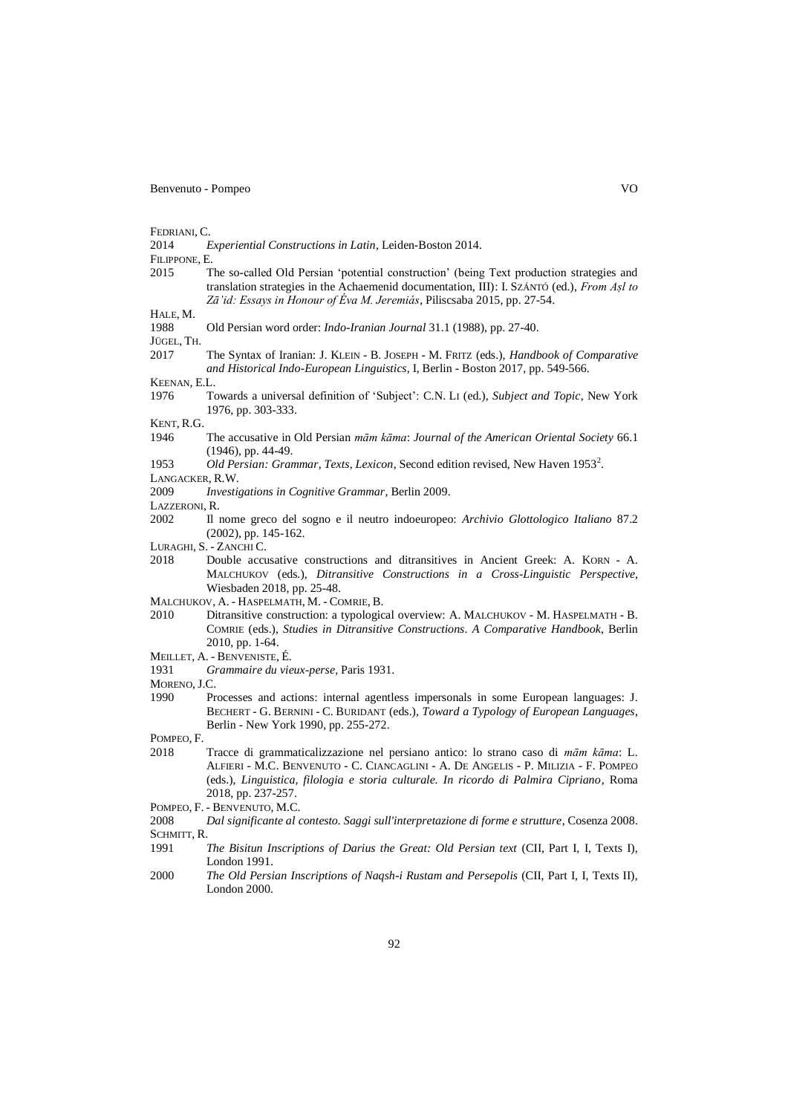FEDRIANI, C.<br>2014

2014 *Experiential Constructions in Latin*, Leiden-Boston 2014.

FILIPPONE, E.

2015 The so-called Old Persian "potential construction" (being Text production strategies and translation strategies in the Achaemenid documentation, III): I. SZÁNTÓ (ed.), *From Aṣl to Zā'id: Essays in Honour of Éva M Jeremiás*, Piliscsaba 2015, pp. 27-54.

HALE, M.

1988 Old Persian word order: *Indo-Iranian Journal* 31.1 (1988), pp. 27-40.

JÜGEL, TH.

2017 The Syntax of Iranian: J. KLEIN - B. JOSEPH - M. FRITZ (eds.), *Handbook of Comparative and Historical Indo-European Linguistics*, I, Berlin - Boston 2017, pp. 549-566.

KEENAN, E.L.

1976 Towards a universal definition of 'Subject': C.N. LI (ed.), *Subject and Topic*, New York 1976, pp. 303-333.

KENT, R.G.

1946 The accusative in Old Persian *mām kāma*: *Journal of the American Oriental Society* 66.1 (1946), pp. 44-49.

1953 Old Persian: Grammar, Texts, Lexicon, Second edition revised, New Haven 1953<sup>2</sup>.

LANGACKER, R.W.

2009 *Investigations in Cognitive Grammar*, Berlin 2009.

- LAZZERONI, R.
- 2002 Il nome greco del sogno e il neutro indoeuropeo: *Archivio Glottologico Italiano* 87.2 (2002), pp. 145-162.

LURAGHI, S. - ZANCHI C.

2018 Double accusative constructions and ditransitives in Ancient Greek: A. KORN - A. MALCHUKOV (eds*.*), *Ditransitive Constructions in a Cross-Linguistic Perspective*, Wiesbaden 2018, pp. 25-48.

- 2010 Ditransitive construction: a typological overview: A. MALCHUKOV M. HASPELMATH B. COMRIE (eds.), *Studies in Ditransitive Constructions. A Comparative Handbook*, Berlin 2010, pp. 1-64.
- MEILLET, A. BENVENISTE, É.
- 1931 *Grammaire du vieux-perse*, Paris 1931.

MORENO, J.C.

1990 Processes and actions: internal agentless impersonals in some European languages: J. BECHERT - G. BERNINI - C. BURIDANT (eds.), *Toward a Typology of European Languages*, Berlin - New York 1990, pp. 255-272.

POMPEO, F.<br>2018

- 2018 Tracce di grammaticalizzazione nel persiano antico: lo strano caso di *mām kāma*: L. ALFIERI - M.C. BENVENUTO - C. CIANCAGLINI - A. DE ANGELIS - P. MILIZIA - F. POMPEO (eds.), *Linguistica, filologia e storia culturale. In ricordo di Palmira Cipriano*, Roma 2018, pp. 237-257.
- POMPEO, F. BENVENUTO, M.C.
- 2008 *Dal significante al contesto. Saggi sull'interpretazione di forme e strutture*, Cosenza 2008. SCHMITT, R.<br>1991
- 1991 *The Bisitun Inscriptions of Darius the Great: Old Persian text* (CII, Part I, I, Texts I), London 1991.
- 2000 *The Old Persian Inscriptions of Naqsh-i Rustam and Persepolis* (CII, Part I, I, Texts II), London 2000.

MALCHUKOV, A. - HASPELMATH, M. - COMRIE, B.